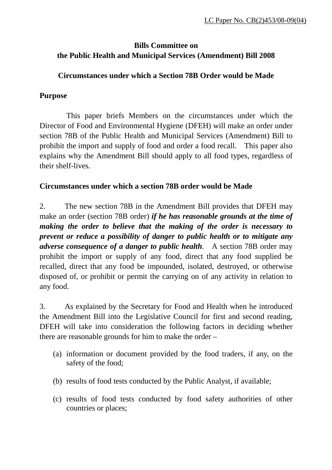# **Bills Committee on the Public Health and Municipal Services (Amendment) Bill 2008**

#### **Circumstances under which a Section 78B Order would be Made**

#### **Purpose**

 This paper briefs Members on the circumstances under which the Director of Food and Environmental Hygiene (DFEH) will make an order under section 78B of the Public Health and Municipal Services (Amendment) Bill to prohibit the import and supply of food and order a food recall. This paper also explains why the Amendment Bill should apply to all food types, regardless of their shelf-lives.

# **Circumstances under which a section 78B order would be Made**

2. The new section 78B in the Amendment Bill provides that DFEH may make an order (section 78B order) *if he has reasonable grounds at the time of making the order to believe that the making of the order is necessary to prevent or reduce a possibility of danger to public health or to mitigate any adverse consequence of a danger to public health*. A section 78B order may prohibit the import or supply of any food, direct that any food supplied be recalled, direct that any food be impounded, isolated, destroyed, or otherwise disposed of, or prohibit or permit the carrying on of any activity in relation to any food.

3. As explained by the Secretary for Food and Health when he introduced the Amendment Bill into the Legislative Council for first and second reading, DFEH will take into consideration the following factors in deciding whether there are reasonable grounds for him to make the order –

- (a) information or document provided by the food traders, if any, on the safety of the food;
- (b) results of food tests conducted by the Public Analyst, if available;
- (c) results of food tests conducted by food safety authorities of other countries or places;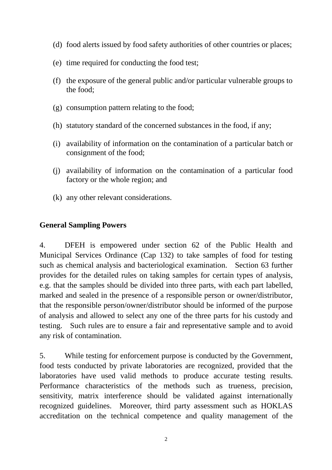- (d) food alerts issued by food safety authorities of other countries or places;
- (e) time required for conducting the food test;
- (f) the exposure of the general public and/or particular vulnerable groups to the food;
- (g) consumption pattern relating to the food;
- (h) statutory standard of the concerned substances in the food, if any;
- (i) availability of information on the contamination of a particular batch or consignment of the food;
- (j) availability of information on the contamination of a particular food factory or the whole region; and
- (k) any other relevant considerations.

# **General Sampling Powers**

4. DFEH is empowered under section 62 of the Public Health and Municipal Services Ordinance (Cap 132) to take samples of food for testing such as chemical analysis and bacteriological examination. Section 63 further provides for the detailed rules on taking samples for certain types of analysis, e.g. that the samples should be divided into three parts, with each part labelled, marked and sealed in the presence of a responsible person or owner/distributor, that the responsible person/owner/distributor should be informed of the purpose of analysis and allowed to select any one of the three parts for his custody and testing. Such rules are to ensure a fair and representative sample and to avoid any risk of contamination.

5. While testing for enforcement purpose is conducted by the Government, food tests conducted by private laboratories are recognized, provided that the laboratories have used valid methods to produce accurate testing results. Performance characteristics of the methods such as trueness, precision, sensitivity, matrix interference should be validated against internationally recognized guidelines. Moreover, third party assessment such as HOKLAS accreditation on the technical competence and quality management of the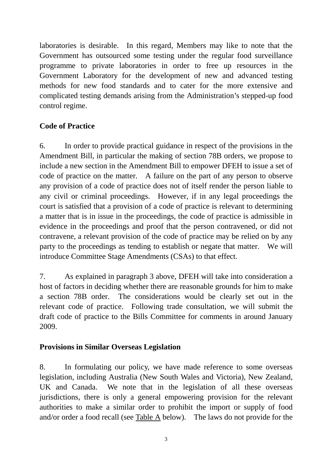laboratories is desirable. In this regard, Members may like to note that the Government has outsourced some testing under the regular food surveillance programme to private laboratories in order to free up resources in the Government Laboratory for the development of new and advanced testing methods for new food standards and to cater for the more extensive and complicated testing demands arising from the Administration's stepped-up food control regime.

# **Code of Practice**

6. In order to provide practical guidance in respect of the provisions in the Amendment Bill, in particular the making of section 78B orders, we propose to include a new section in the Amendment Bill to empower DFEH to issue a set of code of practice on the matter. A failure on the part of any person to observe any provision of a code of practice does not of itself render the person liable to any civil or criminal proceedings. However, if in any legal proceedings the court is satisfied that a provision of a code of practice is relevant to determining a matter that is in issue in the proceedings, the code of practice is admissible in evidence in the proceedings and proof that the person contravened, or did not contravene, a relevant provision of the code of practice may be relied on by any party to the proceedings as tending to establish or negate that matter. We will introduce Committee Stage Amendments (CSAs) to that effect.

7. As explained in paragraph 3 above, DFEH will take into consideration a host of factors in deciding whether there are reasonable grounds for him to make a section 78B order. The considerations would be clearly set out in the relevant code of practice. Following trade consultation, we will submit the draft code of practice to the Bills Committee for comments in around January 2009.

# **Provisions in Similar Overseas Legislation**

8. In formulating our policy, we have made reference to some overseas legislation, including Australia (New South Wales and Victoria), New Zealand, UK and Canada. We note that in the legislation of all these overseas jurisdictions, there is only a general empowering provision for the relevant authorities to make a similar order to prohibit the import or supply of food and/or order a food recall (see Table A below). The laws do not provide for the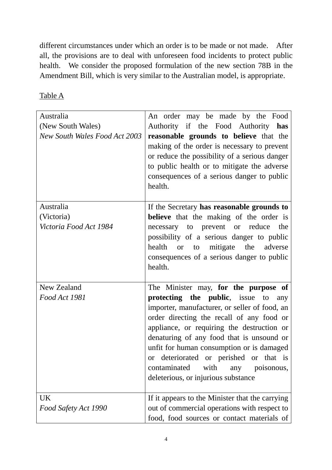different circumstances under which an order is to be made or not made. After all, the provisions are to deal with unforeseen food incidents to protect public health. We consider the proposed formulation of the new section 78B in the Amendment Bill, which is very similar to the Australian model, is appropriate.

Table A

| Australia<br>(New South Wales)<br><b>New South Wales Food Act 2003</b> | An order may be made by the Food<br>Authority if the Food Authority has<br>reasonable grounds to believe that the<br>making of the order is necessary to prevent<br>or reduce the possibility of a serious danger<br>to public health or to mitigate the adverse<br>consequences of a serious danger to public<br>health.                                                                                                                          |
|------------------------------------------------------------------------|----------------------------------------------------------------------------------------------------------------------------------------------------------------------------------------------------------------------------------------------------------------------------------------------------------------------------------------------------------------------------------------------------------------------------------------------------|
| Australia<br>(Victoria)<br>Victoria Food Act 1984                      | If the Secretary has reasonable grounds to<br><b>believe</b> that the making of the order is<br>necessary to prevent or<br>reduce<br>the<br>possibility of a serious danger to public<br>health<br>mitigate<br>the<br><sub>or</sub><br>adverse<br>to<br>consequences of a serious danger to public<br>health.                                                                                                                                      |
| New Zealand<br>Food Act 1981                                           | The Minister may, for the purpose of<br>protecting the public, issue to<br>any<br>importer, manufacturer, or seller of food, an<br>order directing the recall of any food or<br>appliance, or requiring the destruction or<br>denaturing of any food that is unsound or<br>unfit for human consumption or is damaged<br>or deteriorated or perished or that is<br>with<br>contaminated<br>poisonous,<br>any<br>deleterious, or injurious substance |
| UK<br>Food Safety Act 1990                                             | If it appears to the Minister that the carrying<br>out of commercial operations with respect to<br>food, food sources or contact materials of                                                                                                                                                                                                                                                                                                      |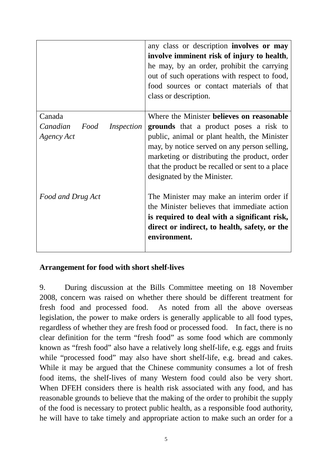|                                | any class or description involves or may<br>involve imminent risk of injury to health,<br>he may, by an order, prohibit the carrying<br>out of such operations with respect to food,<br>food sources or contact materials of that<br>class or description. |
|--------------------------------|------------------------------------------------------------------------------------------------------------------------------------------------------------------------------------------------------------------------------------------------------------|
| Canada                         | Where the Minister believes on reasonable                                                                                                                                                                                                                  |
| Canadian<br>Food<br>Inspection | grounds that a product poses a risk to                                                                                                                                                                                                                     |
| Agency Act                     | public, animal or plant health, the Minister<br>may, by notice served on any person selling,<br>marketing or distributing the product, order<br>that the product be recalled or sent to a place<br>designated by the Minister.                             |
| Food and Drug Act              | The Minister may make an interim order if                                                                                                                                                                                                                  |
|                                | the Minister believes that immediate action                                                                                                                                                                                                                |
|                                | is required to deal with a significant risk,<br>direct or indirect, to health, safety, or the<br>environment.                                                                                                                                              |

#### **Arrangement for food with short shelf-lives**

9. During discussion at the Bills Committee meeting on 18 November 2008, concern was raised on whether there should be different treatment for fresh food and processed food. As noted from all the above overseas legislation, the power to make orders is generally applicable to all food types, regardless of whether they are fresh food or processed food. In fact, there is no clear definition for the term "fresh food" as some food which are commonly known as "fresh food" also have a relatively long shelf-life, e.g. eggs and fruits while "processed food" may also have short shelf-life, e.g. bread and cakes. While it may be argued that the Chinese community consumes a lot of fresh food items, the shelf-lives of many Western food could also be very short. When DFEH considers there is health risk associated with any food, and has reasonable grounds to believe that the making of the order to prohibit the supply of the food is necessary to protect public health, as a responsible food authority, he will have to take timely and appropriate action to make such an order for a